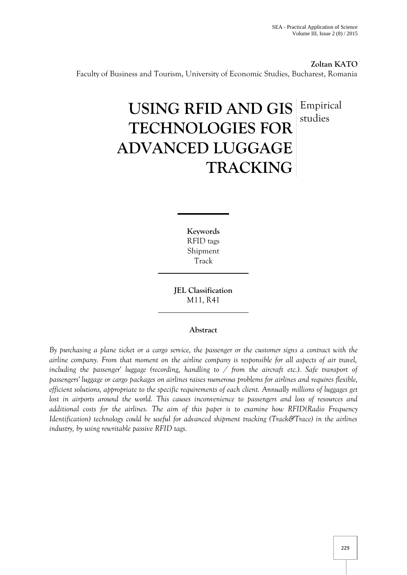**Zoltan KATO** Faculty of Business and Tourism, University of Economic Studies, Bucharest, Romania

# **USING RFID AND GIS** Empirical **TECHNOLOGIES FOR ADVANCED LUGGAGE TRACKING** studies

**Keywords** RFID tags Shipment Track

**JEL Classification** M11, R41

## **Abstract**

*By purchasing a plane ticket or a cargo service, the passenger or the customer signs a contract with the airline company. From that moment on the airline company is responsible for all aspects of air travel, including the passenger' luggage (recording, handling to / from the aircraft etc.). Safe transport of passengers' luggage or cargo packages on airlines raises numerous problems for airlines and requires flexible, efficient solutions, appropriate to the specific requirements of each client. Annually millions of luggages get lost in airports around the world. This causes inconvenience to passengers and loss of resources and additional costs for the airlines. The aim of this paper is to examine how RFID(Radio Frequency Identification) technology could be useful for advanced shipment tracking (Track&Trace) in the airlines industry, by using rewritable passive RFID tags.*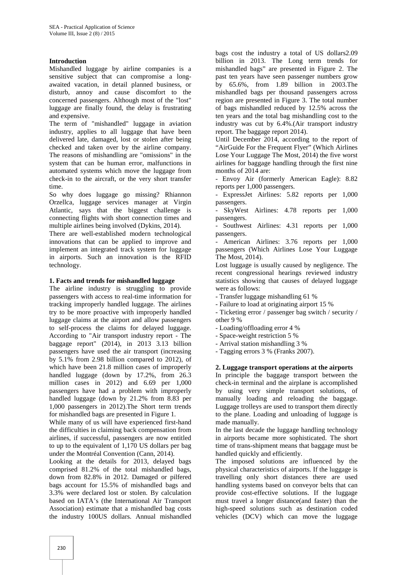## **Introduction**

Mishandled luggage by airline companies is a sensitive subject that can compromise a long awaited vacation, in detail planned business, or disturb, annoy and cause discomfort to the concerned passengers. Although most of the "lost" luggage are finally found, the delay is frustrating and expensive.

The term of "mishandled" luggage in aviation industry, applies to all luggage that have been delivered late, damaged, lost or stolen after being checked and taken over by the airline company. The reasons of mishandling are "omissions" in the system that can be human error, malfunctions in automated systems which move the luggage from check-in to the aircraft, or the very short transfer time.

So why does luggage go missing? Rhiannon Orzellca, luggage services manager at Virgin Atlantic, says that the biggest challenge is connecting flights with short connection times and multiple airlines being involved (Dykins, 2014).

There are well-established modern technological innovations that can be applied to improve and implement an integrated track system for luggage in airports. Such an innovation is the RFID technology.

#### **1. Facts and trends for mishandled luggage**

The airline industry is struggling to provide passengers with access to real-time information for tracking improperly handled luggage. The airlines try to be more proactive with improperly handled luggage claims at the airport and allow passengers to self-process the claims for delayed luggage. According to "Air transport industry report - The baggage report" (2014), in 2013 3.13 billion passengers have used the air transport (increasing by 5.1% from 2.98 billion compared to 2012), of which have been 21.8 million cases of improperly handled luggage (down by 17.2%, from 26.3 million cases in 2012) and 6.69 per 1,000 passengers have had a problem with improperly handled luggage (down by 21.2% from 8.83 per 1,000 passengers in 2012).The Short term trends for mishandled bags are presented in Figure 1.

While many of us will have experienced first-hand the difficulties in claiming back compensation from airlines, if successful, passengers are now entitled to up to the equivalent of 1,170 US dollars per bag under the Montréal Convention (Cann, 2014).

Looking at the details for 2013, delayed bags comprised 81.2% of the total mishandled bags, down from 82.8% in 2012. Damaged or pilfered bags account for 15.5% of mishandled bags and 3.3% were declared lost or stolen. By calculation based on IATA's (the International Air Transport Association) estimate that a mishandled bag costs the industry 100US dollars. Annual mishandled

bags cost the industry a total of US dollars2.09 billion in 2013. The Long term trends for mishandled bags" are presented in Figure 2. The past ten years have seen passenger numbers grow by 65.6%, from 1.89 billion in 2003.The mishandled bags per thousand passengers across region are presented in Figure 3. The total number of bags mishandled reduced by 12.5% across the ten years and the total bag mishandling cost to the industry was cut by 6.4%.(Air transport industry report. The baggage report 2014).

Until December 2014, according to the report of "AirGuide For the Frequent Flyer" (Which Airlines Lose Your Luggage The Most, 2014) the five worst airlines for baggage handling through the first nine months of 2014 are:

- Envoy Air (formerly American Eagle): 8.82 reports per 1,000 passengers.

- ExpressJet Airlines: 5.82 reports per 1,000 passengers.

SkyWest Airlines: 4.78 reports per 1,000 passengers.

Southwest Airlines: 4.31 reports per 1,000 passengers.

- American Airlines: 3.76 reports per 1,000 passengers (Which Airlines Lose Your Luggage The Most, 2014).

Lost luggage is usually caused by negligence. The recent congressional hearings reviewed industry statistics showing that causes of delayed luggage were as follows:

- Transfer luggage mishandling 61 %

- Failure to load at originating airport 15 %

- Ticketing error / passenger bag switch / security / other 9 %

- Loading/offloading error 4 %

- Space-weight restriction 5 %

- Arrival station mishandling 3 %

- Tagging errors 3 % (Franks 2007).

## **2. Luggage transport operations at the airports**

In principle the baggage transport between the check-in terminal and the airplane is accomplished by using very simple transport solutions, of manually loading and reloading the baggage. Luggage trolleys are used to transport them directly to the plane. Loading and unloading of luggage is made manually.

In the last decade the luggage handling technology in airports became more sophisticated. The short time of trans-shipment means that baggage must be handled quickly and efficiently.

The imposed solutions are influenced by the physical characteristics of airports. If the luggage is travelling only short distances there are used handling systems based on conveyor belts that can provide cost-effective solutions. If the luggage must travel a longer distance(and faster) than the high-speed solutions such as destination coded vehicles (DCV) which can move the luggage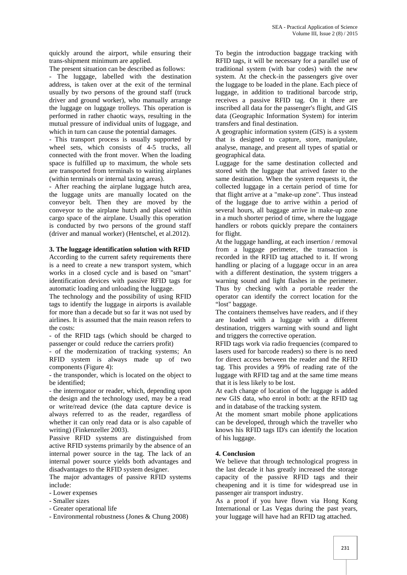quickly around the airport, while ensuring their trans-shipment minimum are applied.

The present situation can be described as follows:

- The luggage, labelled with the destination address, is taken over at the exit of the terminal usually by two persons of the ground staff (truck driver and ground worker), who manually arrange the luggage on luggage trolleys. This operation is performed in rather chaotic ways, resulting in the mutual pressure of individual units of luggage, and which in turn can cause the potential damages.

- This transport process is usually supported by wheel sets, which consists of 4-5 trucks, all connected with the front mover. When the loading space is fulfilled up to maximum, the whole sets are transported from terminals to waiting airplanes (within terminals or internal taxing areas).

- After reaching the airplane luggage hutch area, the luggage units are manually located on the conveyor belt. Then they are moved by the conveyor to the airplane hutch and placed within cargo space of the airplane. Usually this operation is conducted by two persons of the ground staff (driver and manual worker) (Hentschel, et al.2012).

#### **3. The luggage identification solution with RFID**

According to the current safety requirements there is a need to create a new transport system, which works in a closed cycle and is based on "smart" identification devices with passive RFID tags for automatic loading and unloading the luggage.

The technology and the possibility of using RFID tags to identify the luggage in airports is available for more than a decade but so far it was not used by airlines. It is assumed that the main reason refers to the costs:

- of the RFID tags (which should be charged to passenger or could reduce the carriers profit)

- of the modernization of tracking systems; An RFID system is always made up of two components (Figure 4):

- the transponder, which is located on the object to be identified;

- the interrogator or reader, which, depending upon the design and the technology used, may be a read or write/read device (the data capture device is always referred to as the reader, regardless of whether it can only read data or is also capable of writing) (Finkenzeller 2003).

Passive RFID systems are distinguished from active RFID systems primarily by the absence of an internal power source in the tag. The lack of an internal power source yields both advantages and disadvantages to the RFID system designer.

The major advantages of passive RFID systems include:

- Lower expenses
- Smaller sizes
- Greater operational life
- Environmental robustness (Jones & Chung 2008)

To begin the introduction baggage tracking with RFID tags, it will be necessary for a parallel use of traditional system (with bar codes) with the new system. At the check-in the passengers give over the luggage to be loaded in the plane. Each piece of luggage, in addition to traditional barcode strip, receives a passive RFID tag. On it there are inscribed all data for the passenger's flight, and GIS data (Geographic Information System) for interim transfers and final destination.

A geographic information system (GIS) is a system that is designed to capture, store, manipulate, analyse, manage, and present all types of spatial or geographical data.

Luggage for the same destination collected and stored with the luggage that arrived faster to the same destination. When the system requests it, the collected luggage in a certain period of time for that flight arrive at a "make-up zone". Thus instead of the luggage due to arrive within a period of several hours, all baggage arrive in make-up zone in a much shorter period of time, where the luggage handlers or robots quickly prepare the containers for flight.

At the luggage handling, at each insertion / removal from a luggage perimeter, the transaction is recorded in the RFID tag attached to it. If wrong handling or placing of a luggage occur in an area with a different destination, the system triggers a warning sound and light flashes in the perimeter. Thus by checking with a portable reader the operator can identify the correct location for the "lost" baggage.

The containers themselves have readers, and if they are loaded with a luggage with a different destination, triggers warning with sound and light and triggers the corrective operation.

RFID tags work via radio frequencies (compared to lasers used for barcode readers) so there is no need for direct access between the reader and the RFID tag. This provides a 99% of reading rate of the luggage with RFID tag and at the same time means that it is less likely to be lost.

At each change of location of the luggage is added new GIS data, who enrol in both: at the RFID tag and in database of the tracking system.

At the moment smart mobile phone applications can be developed, through which the traveller who knows his RFID tags ID's can identify the location of his luggage.

## **4. Conclusion**

We believe that through technological progress in the last decade it has greatly increased the storage capacity of the passive RFID tags and their cheapening and it is time for widespread use in passenger air transport industry.

As a proof if you have flown via Hong Kong International or Las Vegas during the past years, your luggage will have had an RFID tag attached.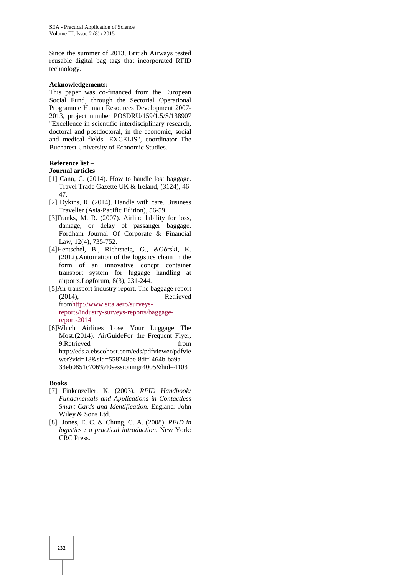Since the summer of 2013, British Airways tested reusable digital bag tags that incorporated RFID technology.

#### **Acknowledgements:**

This paper was co-financed from the European Social Fund, through the Sectorial Operational Programme Human Resources Development 2007- 2013, project number POSDRU/159/1.5/S/138907 "Excellence in scientific interdisciplinary research, doctoral and postdoctoral, in the economic, social and medical fields -EXCELIS", coordinator The Bucharest University of Economic Studies.

#### **Reference list –**

#### **Journal articles**

- [1] Cann, C. (2014). How to handle lost baggage. Travel Trade Gazette UK & Ireland, (3124), 46- 47.
- [2] Dykins, R. (2014). Handle with care. Business Traveller (Asia-Pacific Edition), 56-59.
- [3]Franks, M. R. (2007). Airline lability for loss, damage, or delay of passanger baggage. Fordham Journal Of Corporate & Financial Law, 12(4), 735-752.
- [4]Hentschel, B., Richtsteig, G., &Górski, K. (2012).Automation of the logistics chain in the form of an innovative concpt container transport system for luggage handling at airports.Logforum, 8(3), 231-244.
- [5]Air transport industry report. The baggage report (2014), Retrieved fromhttp://www.sita.aero/surveysreports/industry-surveys-reports/baggagereport-2014
- [6]Which Airlines Lose Your Luggage The Most.(2014). AirGuideFor the Frequent Flyer, 9.Retrieved from http://eds.a.ebscohost.com/eds/pdfviewer/pdfvie wer?vid=18&sid=558248be-8dff-464b-ba9a- 33eb0851c706%40sessionmgr4005&hid=4103

#### **Books**

- [7] Finkenzeller, K. (2003). *RFID Handbook: Fundamentals and Applications in Contactless Smart Cards and Identification*. England: John Wiley & Sons Ltd.
- [8] Jones, E. C. & Chung, C. A. (2008). *RFID in logistics : a practical introduction*. New York: CRC Press.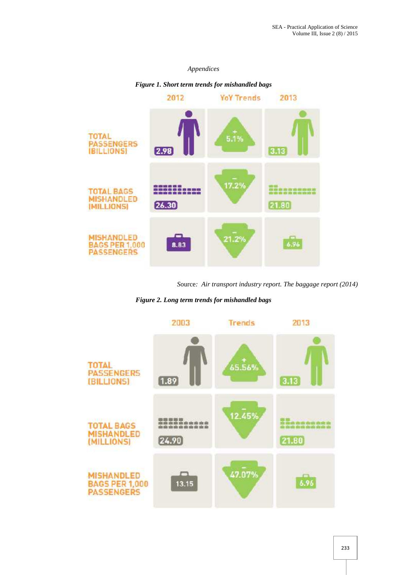## *Appendices*



*Figure 1. Short term trends for mishandled bags*

*S*ource*: Air transport industry report. The baggage report (2014)*

*Figure 2. Long term trends for mishandled bags*